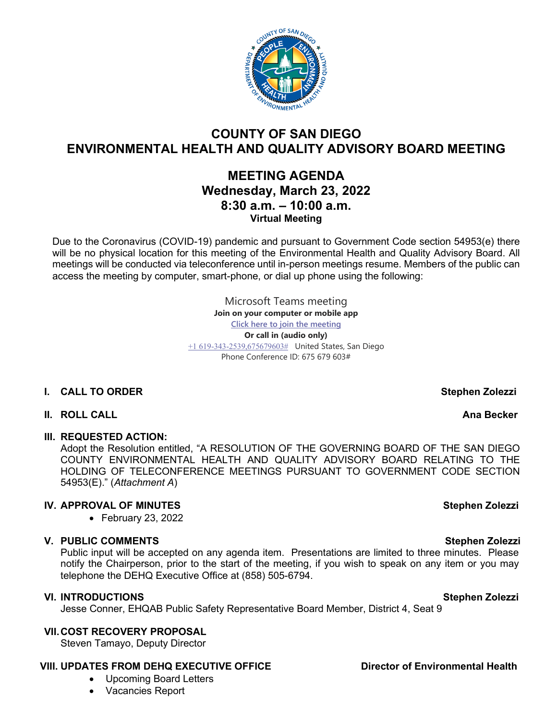

# **COUNTY OF SAN DIEGO ENVIRONMENTAL HEALTH AND QUALITY ADVISORY BOARD MEETING**

# **MEETING AGENDA Wednesday, March 23, 2022 8:30 a.m. – 10:00 a.m. Virtual Meeting**

Due to the Coronavirus (COVID-19) pandemic and pursuant to Government Code section 54953(e) there will be no physical location for this meeting of the Environmental Health and Quality Advisory Board. All meetings will be conducted via teleconference until in-person meetings resume. Members of the public can access the meeting by computer, smart-phone, or dial up phone using the following:

> Microsoft Teams meeting **Join on your computer or mobile app [Click here to join the meeting](https://teams.microsoft.com/l/meetup-join/19%3ameeting_YTBhMzBhYjctMTVmZi00N2ZjLThiMDEtNDIwOTliMTc5YWYz%40thread.v2/0?context=%7b%22Tid%22%3a%224563af13-c029-41b3-b74c-965e8eec8f96%22%2c%22Oid%22%3a%224570e91c-15b4-44d5-a1ca-564bec5e2a6c%22%7d) Or call in (audio only)** [+1 619-343-2539,675679603#](tel:+16193432539,,675679603#%20) United States, San Diego Phone Conference ID: 675 679 603#

# **I.** CALL TO ORDER STEPHEN STEPHEN STEPHEN STEPHEN ZOLEZZI

### **II.** ROLL CALL **AND RESERVE AND RESERVE AND RESERVE AND RESERVE AND RESERVE AND RESERVE AND RESERVE AND RESERVE AND RESERVE AND RESERVE AND RESERVE AND RESERVE AND RESERVE AND RESERVE AND RESERVE AND RESERVE AND RESERVE A**

### **III. REQUESTED ACTION:**

Adopt the Resolution entitled, "A RESOLUTION OF THE GOVERNING BOARD OF THE SAN DIEGO COUNTY ENVIRONMENTAL HEALTH AND QUALITY ADVISORY BOARD RELATING TO THE HOLDING OF TELECONFERENCE MEETINGS PURSUANT TO GOVERNMENT CODE SECTION 54953(E)." (*Attachment A*)

# **IV. APPROVAL OF MINUTES** Stephen Zolezzi

• February 23, 2022

# **V.** PUBLIC COMMENTS Stephen Zolezzi

Public input will be accepted on any agenda item. Presentations are limited to three minutes. Please notify the Chairperson, prior to the start of the meeting, if you wish to speak on any item or you may telephone the DEHQ Executive Office at (858) 505-6794.

### **VI.** INTRODUCTIONS Stephen Zolezzi

Jesse Conner, EHQAB Public Safety Representative Board Member, District 4, Seat 9

### **VII.COST RECOVERY PROPOSAL**

Steven Tamayo, Deputy Director

# **VIII. UPDATES FROM DEHQ EXECUTIVE OFFICE Director of Environmental Health**

- Upcoming Board Letters
- Vacancies Report